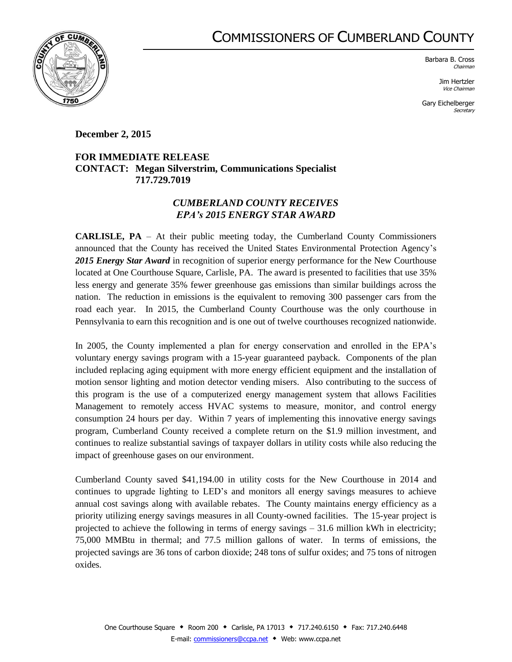## COMMISSIONERS OF CUMBERLAND COUNTY



Barbara B. Cross Chairman

> Jim Hertzler Vice Chairman

Gary Eichelberger **Secretary** 

## **December 2, 2015**

## **FOR IMMEDIATE RELEASE CONTACT: Megan Silverstrim, Communications Specialist 717.729.7019**

## *CUMBERLAND COUNTY RECEIVES EPA's 2015 ENERGY STAR AWARD*

**CARLISLE, PA** – At their public meeting today, the Cumberland County Commissioners announced that the County has received the United States Environmental Protection Agency's 2015 Energy Star Award in recognition of superior energy performance for the New Courthouse located at One Courthouse Square, Carlisle, PA. The award is presented to facilities that use 35% less energy and generate 35% fewer greenhouse gas emissions than similar buildings across the nation. The reduction in emissions is the equivalent to removing 300 passenger cars from the road each year. In 2015, the Cumberland County Courthouse was the only courthouse in Pennsylvania to earn this recognition and is one out of twelve courthouses recognized nationwide.

In 2005, the County implemented a plan for energy conservation and enrolled in the EPA's voluntary energy savings program with a 15-year guaranteed payback. Components of the plan included replacing aging equipment with more energy efficient equipment and the installation of motion sensor lighting and motion detector vending misers. Also contributing to the success of this program is the use of a computerized energy management system that allows Facilities Management to remotely access HVAC systems to measure, monitor, and control energy consumption 24 hours per day. Within 7 years of implementing this innovative energy savings program, Cumberland County received a complete return on the \$1.9 million investment, and continues to realize substantial savings of taxpayer dollars in utility costs while also reducing the impact of greenhouse gases on our environment.

Cumberland County saved \$41,194.00 in utility costs for the New Courthouse in 2014 and continues to upgrade lighting to LED's and monitors all energy savings measures to achieve annual cost savings along with available rebates. The County maintains energy efficiency as a priority utilizing energy savings measures in all County-owned facilities. The 15-year project is projected to achieve the following in terms of energy savings  $-31.6$  million kWh in electricity; 75,000 MMBtu in thermal; and 77.5 million gallons of water. In terms of emissions, the projected savings are 36 tons of carbon dioxide; 248 tons of sulfur oxides; and 75 tons of nitrogen oxides.